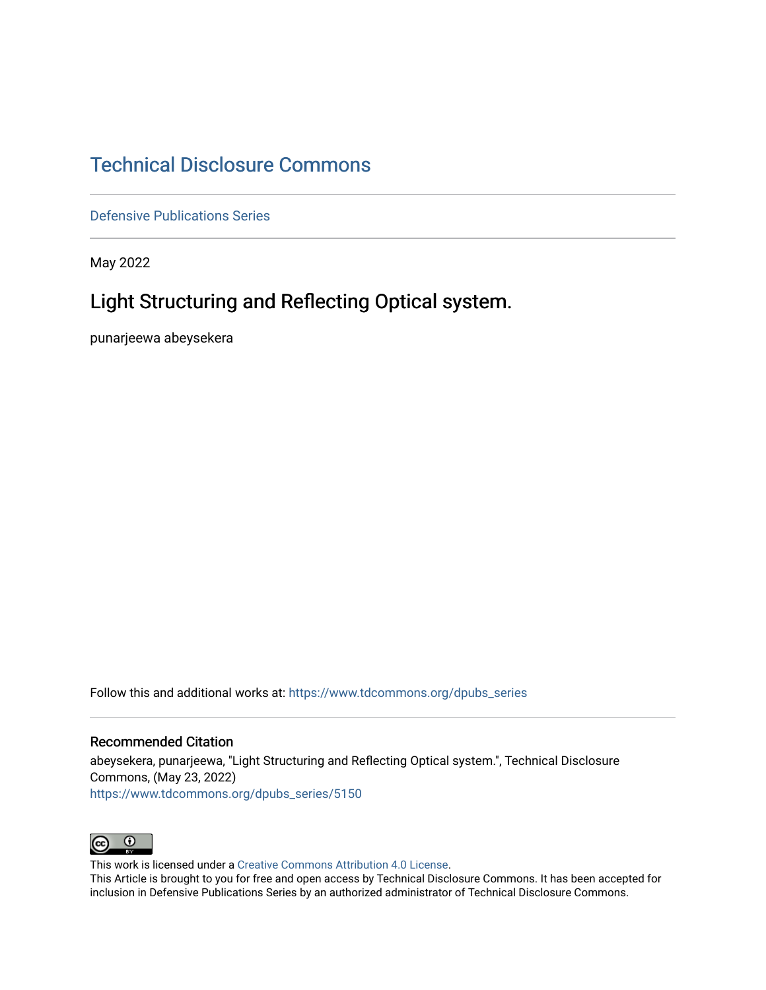## [Technical Disclosure Commons](https://www.tdcommons.org/)

[Defensive Publications Series](https://www.tdcommons.org/dpubs_series)

May 2022

# Light Structuring and Reflecting Optical system.

punarjeewa abeysekera

Follow this and additional works at: [https://www.tdcommons.org/dpubs\\_series](https://www.tdcommons.org/dpubs_series?utm_source=www.tdcommons.org%2Fdpubs_series%2F5150&utm_medium=PDF&utm_campaign=PDFCoverPages) 

#### Recommended Citation

abeysekera, punarjeewa, "Light Structuring and Reflecting Optical system.", Technical Disclosure Commons, (May 23, 2022) [https://www.tdcommons.org/dpubs\\_series/5150](https://www.tdcommons.org/dpubs_series/5150?utm_source=www.tdcommons.org%2Fdpubs_series%2F5150&utm_medium=PDF&utm_campaign=PDFCoverPages)



This work is licensed under a [Creative Commons Attribution 4.0 License](http://creativecommons.org/licenses/by/4.0/deed.en_US).

This Article is brought to you for free and open access by Technical Disclosure Commons. It has been accepted for inclusion in Defensive Publications Series by an authorized administrator of Technical Disclosure Commons.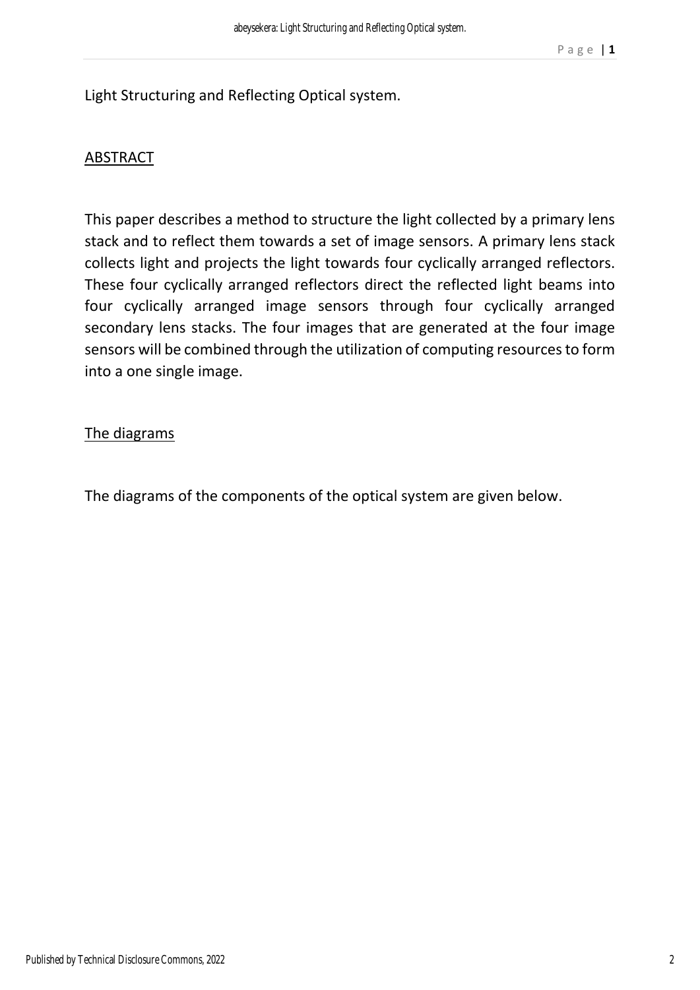Light Structuring and Reflecting Optical system.

### ABSTRACT

This paper describes a method to structure the light collected by a primary lens stack and to reflect them towards a set of image sensors. A primary lens stack collects light and projects the light towards four cyclically arranged reflectors. These four cyclically arranged reflectors direct the reflected light beams into four cyclically arranged image sensors through four cyclically arranged secondary lens stacks. The four images that are generated at the four image sensors will be combined through the utilization of computing resources to form into a one single image.

#### The diagrams

The diagrams of the components of the optical system are given below.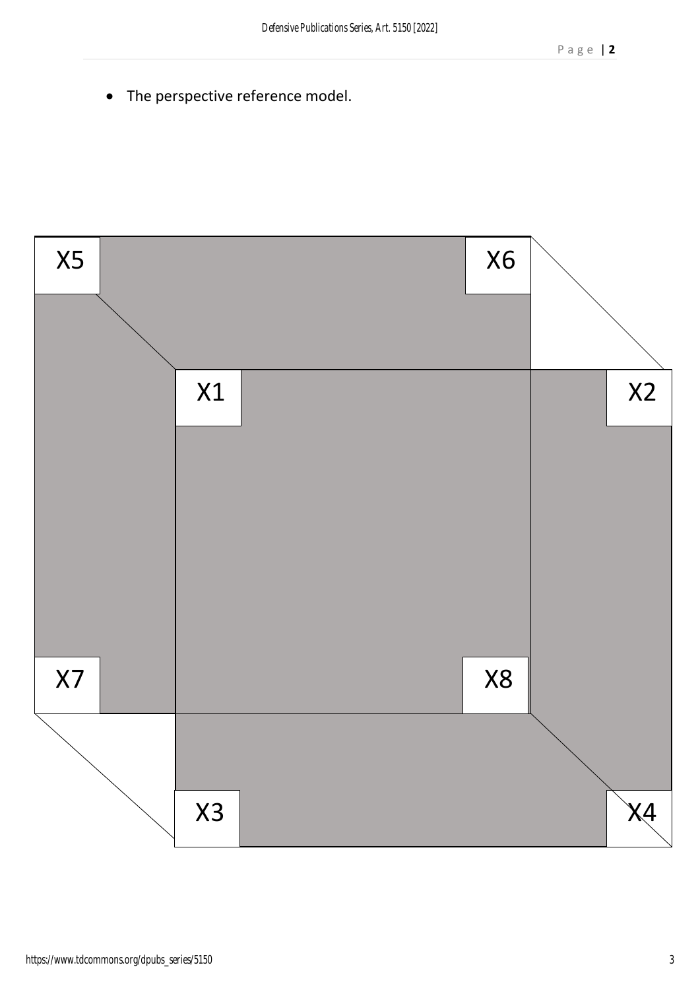• The perspective reference model.

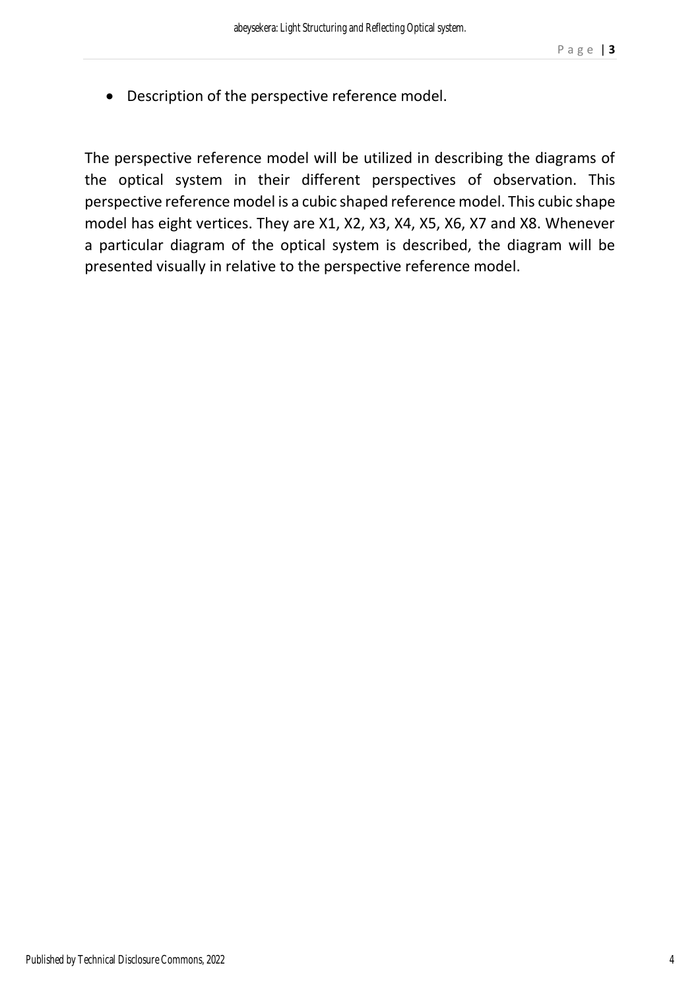Description of the perspective reference model.

The perspective reference model will be utilized in describing the diagrams of the optical system in their different perspectives of observation. This perspective reference model is a cubic shaped reference model. This cubic shape model has eight vertices. They are X1, X2, X3, X4, X5, X6, X7 and X8. Whenever a particular diagram of the optical system is described, the diagram will be presented visually in relative to the perspective reference model.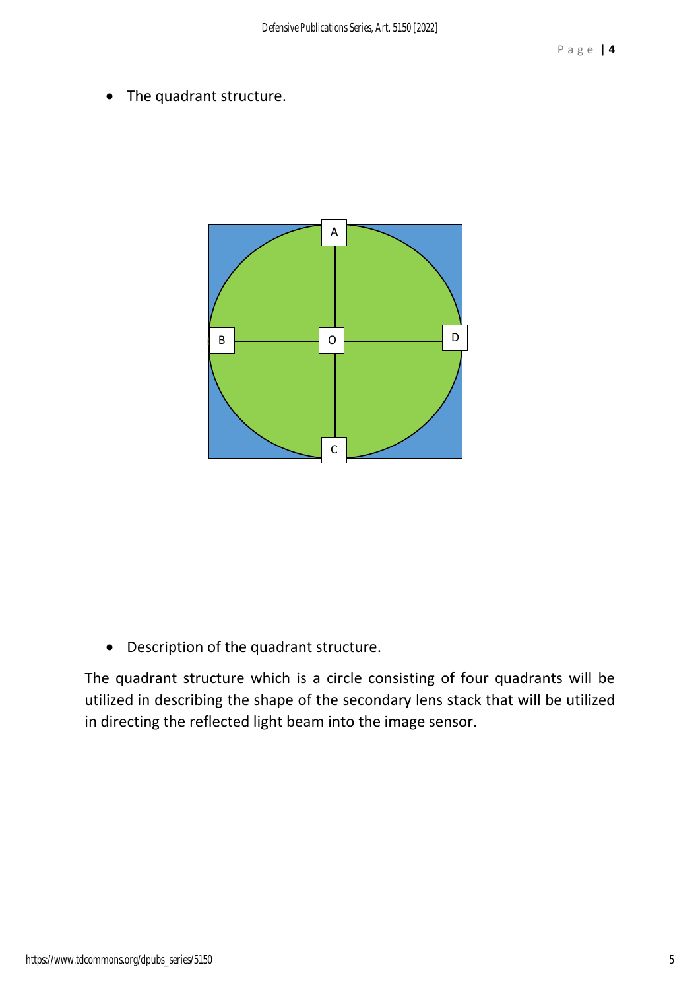• The quadrant structure.



Description of the quadrant structure.

The quadrant structure which is a circle consisting of four quadrants will be utilized in describing the shape of the secondary lens stack that will be utilized in directing the reflected light beam into the image sensor.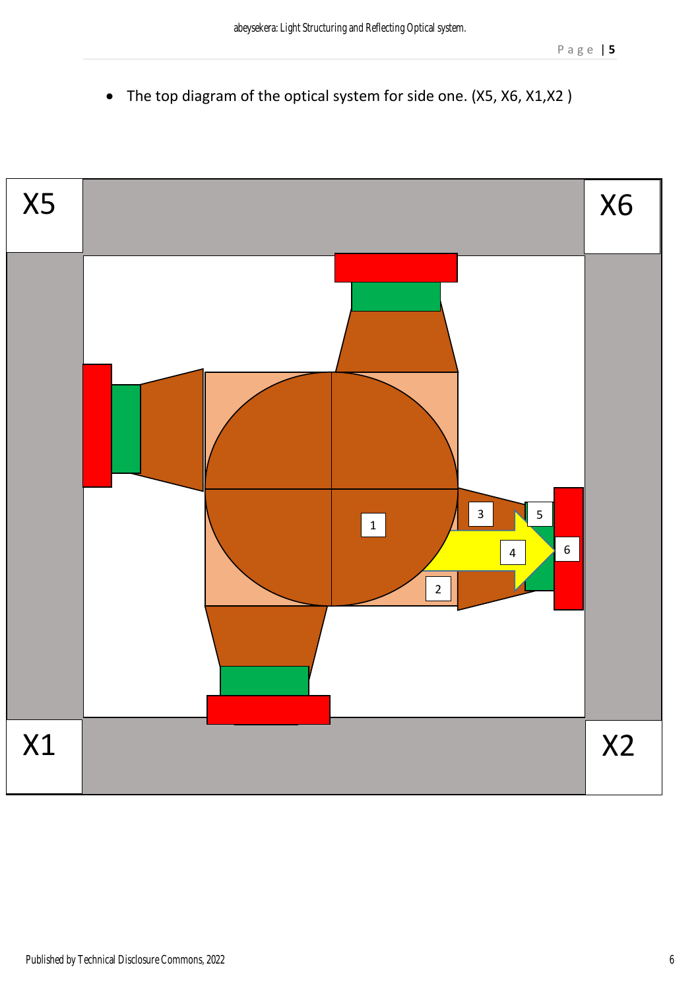• The top diagram of the optical system for side one. (X5, X6, X1, X2)

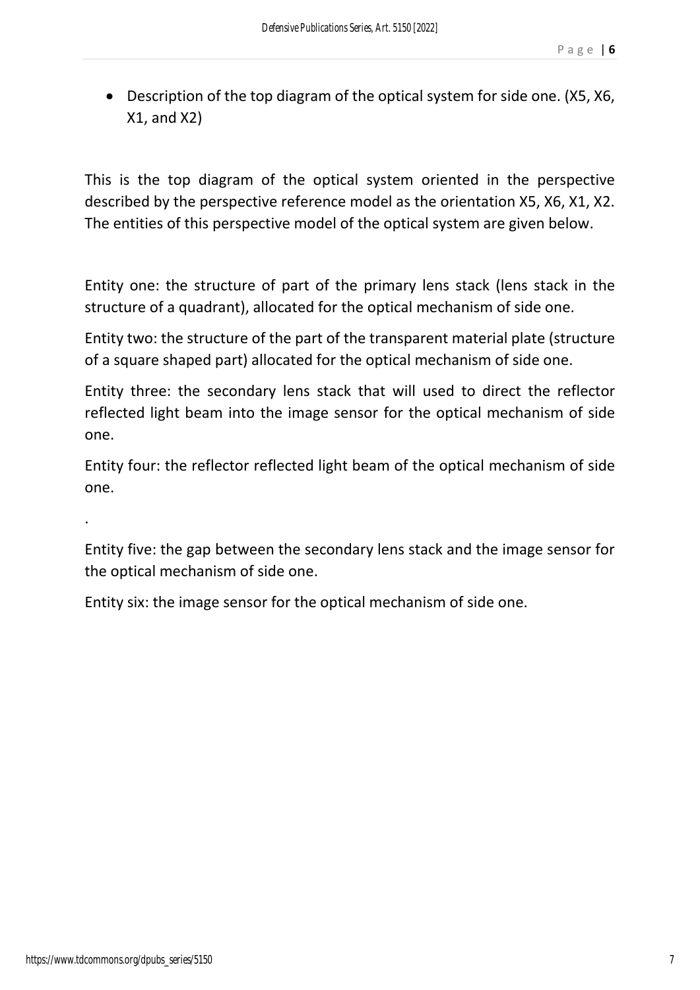Description of the top diagram of the optical system for side one. (X5, X6, X1, and X2)

This is the top diagram of the optical system oriented in the perspective described by the perspective reference model as the orientation X5, X6, X1, X2. The entities of this perspective model of the optical system are given below.

Entity one: the structure of part of the primary lens stack (lens stack in the structure of a quadrant), allocated for the optical mechanism of side one.

Entity two: the structure of the part of the transparent material plate (structure of a square shaped part) allocated for the optical mechanism of side one.

Entity three: the secondary lens stack that will used to direct the reflector reflected light beam into the image sensor for the optical mechanism of side one.

Entity four: the reflector reflected light beam of the optical mechanism of side one.

. Entity five: the gap between the secondary lens stack and the image sensor for the optical mechanism of side one.

Entity six: the image sensor for the optical mechanism of side one.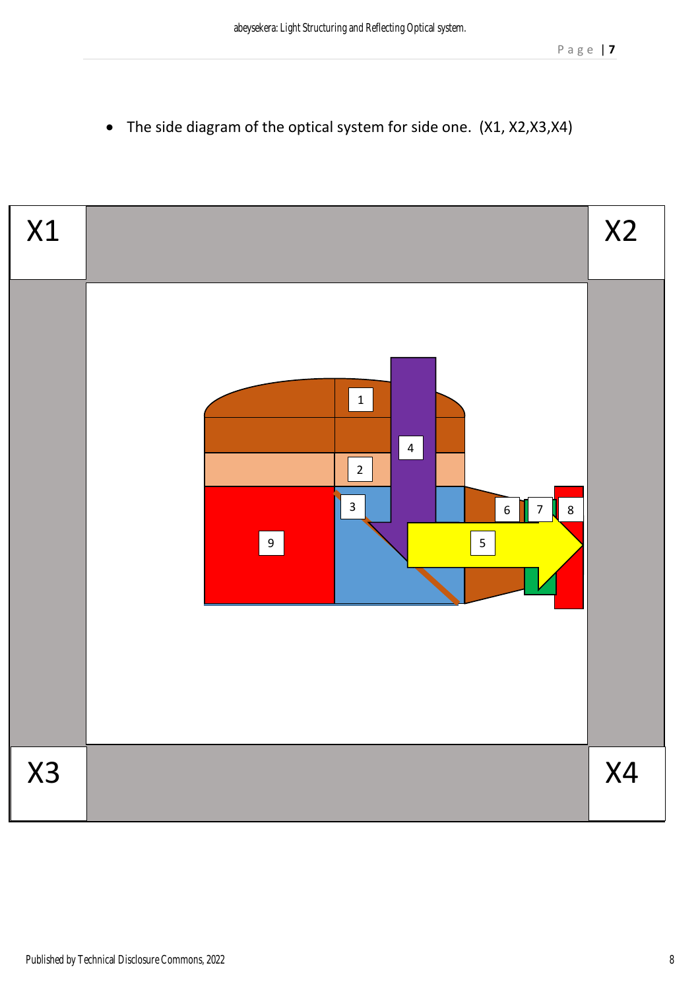The side diagram of the optical system for side one. (X1, X2,X3,X4)

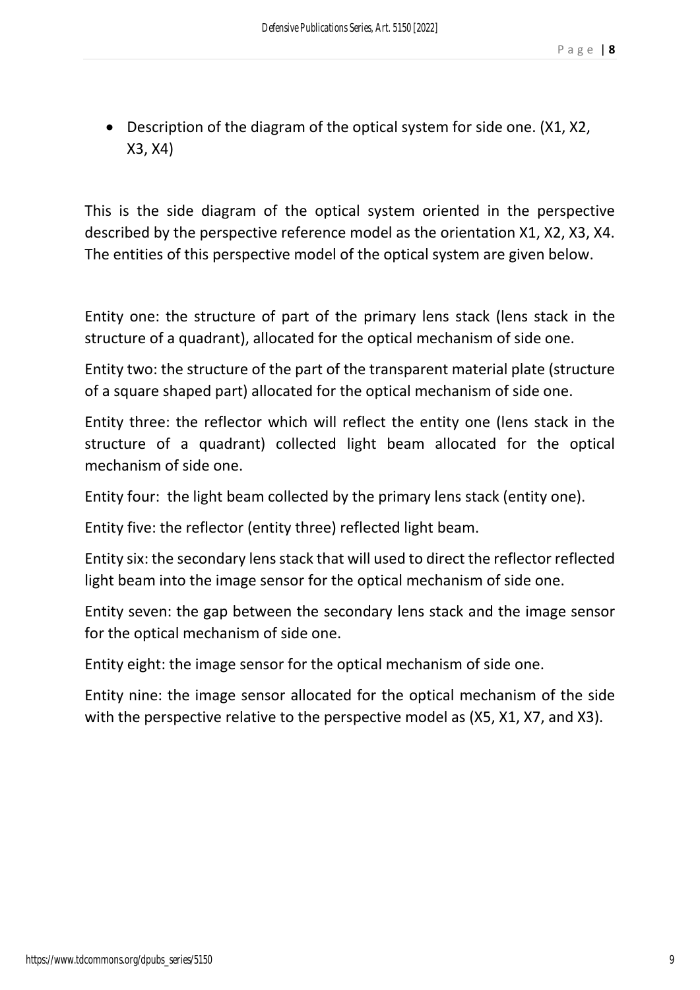Description of the diagram of the optical system for side one. (X1, X2, X3, X4)

This is the side diagram of the optical system oriented in the perspective described by the perspective reference model as the orientation X1, X2, X3, X4. The entities of this perspective model of the optical system are given below.

Entity one: the structure of part of the primary lens stack (lens stack in the structure of a quadrant), allocated for the optical mechanism of side one.

Entity two: the structure of the part of the transparent material plate (structure of a square shaped part) allocated for the optical mechanism of side one.

Entity three: the reflector which will reflect the entity one (lens stack in the structure of a quadrant) collected light beam allocated for the optical mechanism of side one.

Entity four: the light beam collected by the primary lens stack (entity one).

Entity five: the reflector (entity three) reflected light beam.

Entity six: the secondary lens stack that will used to direct the reflector reflected light beam into the image sensor for the optical mechanism of side one.

Entity seven: the gap between the secondary lens stack and the image sensor for the optical mechanism of side one.

Entity eight: the image sensor for the optical mechanism of side one.

Entity nine: the image sensor allocated for the optical mechanism of the side with the perspective relative to the perspective model as (X5, X1, X7, and X3).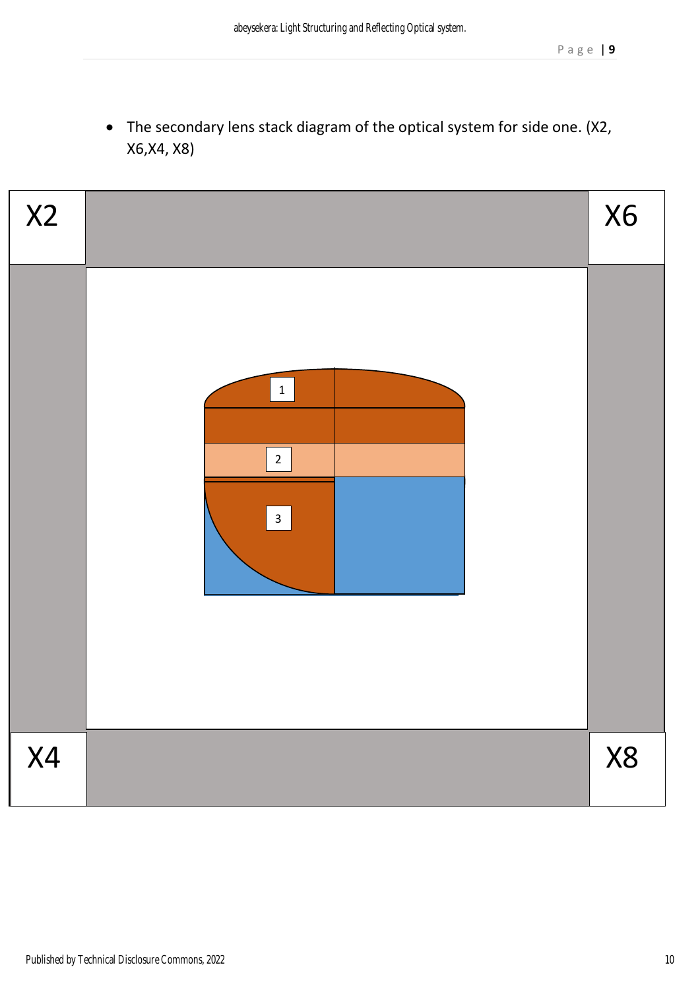The secondary lens stack diagram of the optical system for side one. (X2, X6,X4, X8)

| X2        |                                                 | <b>X6</b> |
|-----------|-------------------------------------------------|-----------|
|           | $\mathbf 1$<br>$\overline{2}$<br>$\overline{3}$ |           |
| <b>X4</b> |                                                 | <b>X8</b> |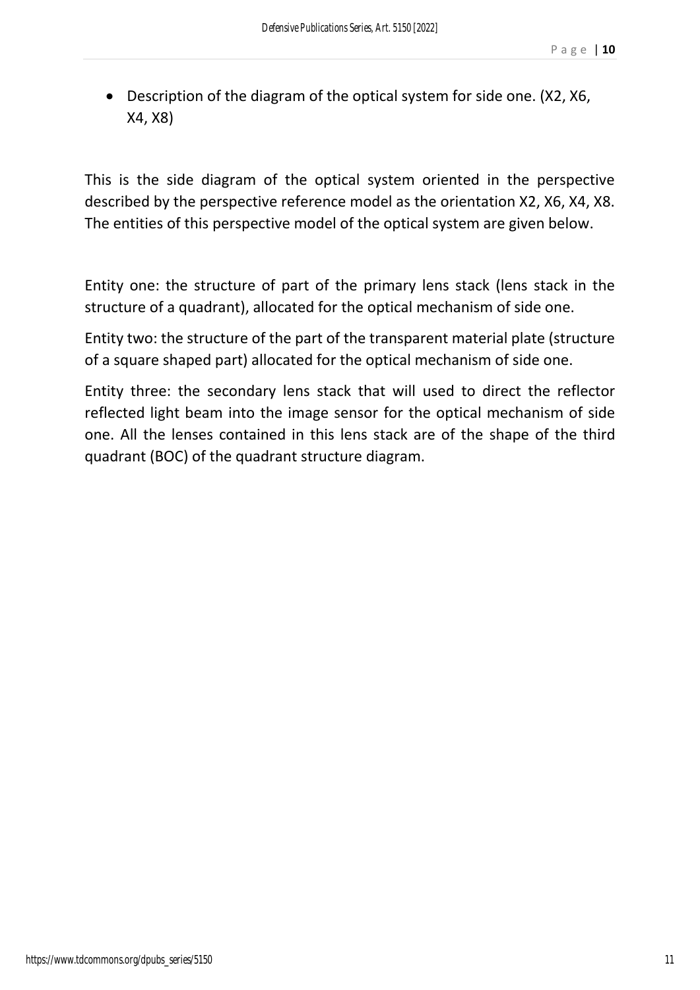Description of the diagram of the optical system for side one. (X2, X6, X4, X8)

This is the side diagram of the optical system oriented in the perspective described by the perspective reference model as the orientation X2, X6, X4, X8. The entities of this perspective model of the optical system are given below.

Entity one: the structure of part of the primary lens stack (lens stack in the structure of a quadrant), allocated for the optical mechanism of side one.

Entity two: the structure of the part of the transparent material plate (structure of a square shaped part) allocated for the optical mechanism of side one.

Entity three: the secondary lens stack that will used to direct the reflector reflected light beam into the image sensor for the optical mechanism of side one. All the lenses contained in this lens stack are of the shape of the third quadrant (BOC) of the quadrant structure diagram.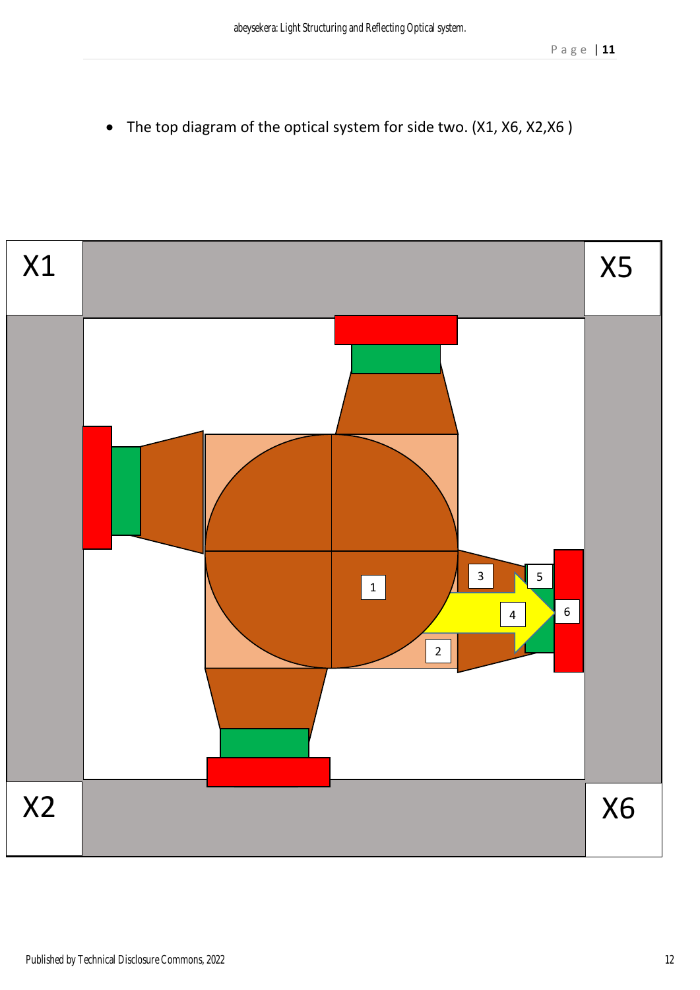• The top diagram of the optical system for side two. (X1, X6, X2, X6)

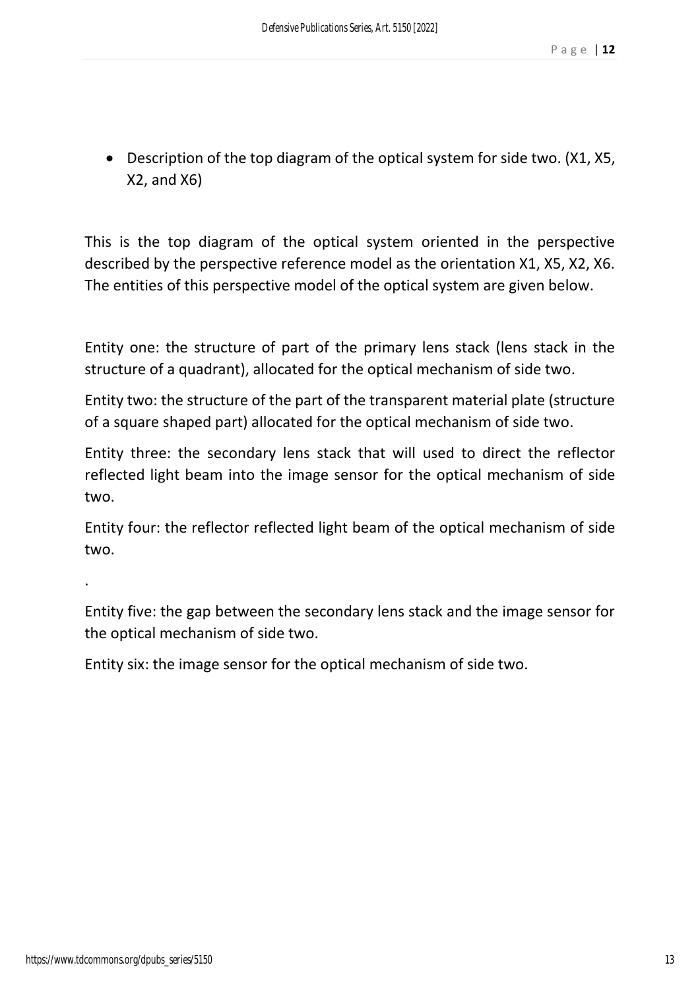Description of the top diagram of the optical system for side two. (X1, X5, X2, and X6)

This is the top diagram of the optical system oriented in the perspective described by the perspective reference model as the orientation X1, X5, X2, X6. The entities of this perspective model of the optical system are given below.

Entity one: the structure of part of the primary lens stack (lens stack in the structure of a quadrant), allocated for the optical mechanism of side two.

Entity two: the structure of the part of the transparent material plate (structure of a square shaped part) allocated for the optical mechanism of side two.

Entity three: the secondary lens stack that will used to direct the reflector reflected light beam into the image sensor for the optical mechanism of side two.

Entity four: the reflector reflected light beam of the optical mechanism of side two.

Entity five: the gap between the secondary lens stack and the image sensor for the optical mechanism of side two.

Entity six: the image sensor for the optical mechanism of side two.

.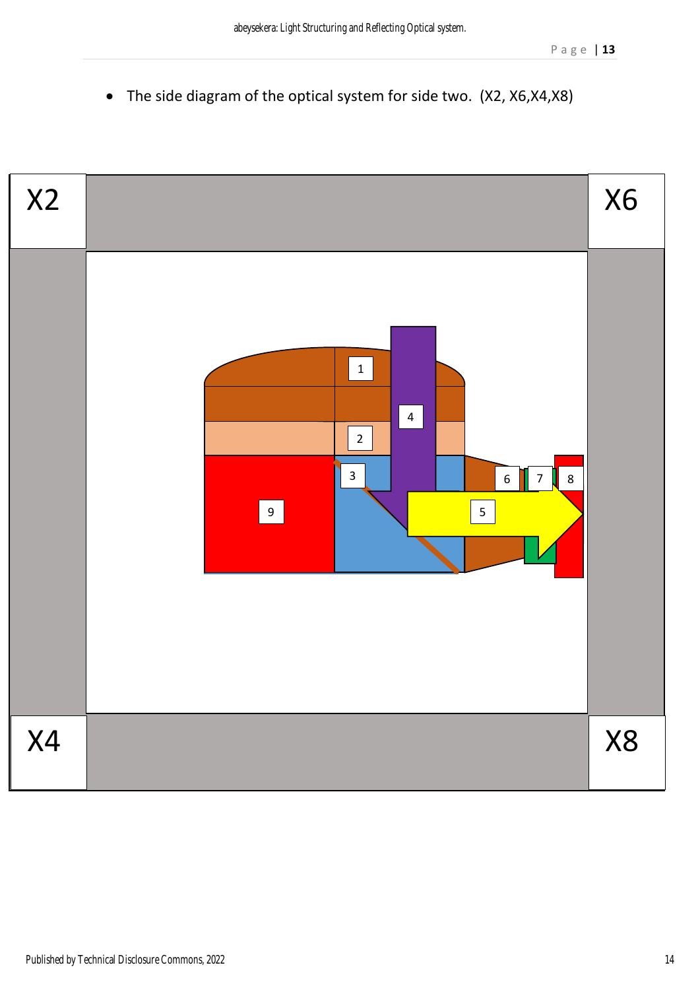• The side diagram of the optical system for side two. (X2, X6, X4, X8)

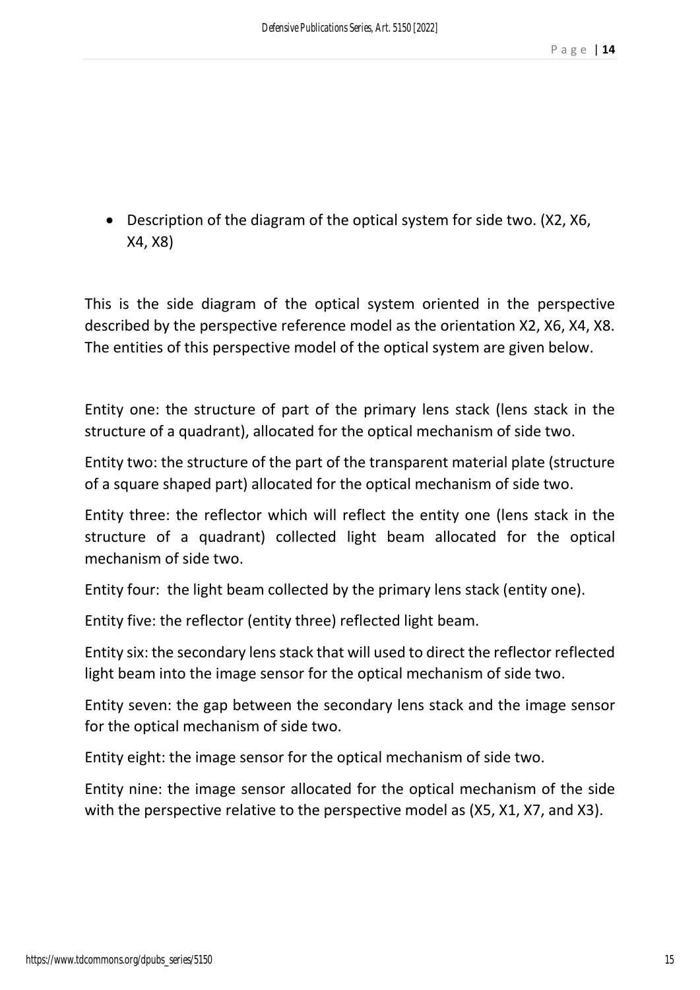Description of the diagram of the optical system for side two. (X2, X6, X4, X8)

This is the side diagram of the optical system oriented in the perspective described by the perspective reference model as the orientation X2, X6, X4, X8. The entities of this perspective model of the optical system are given below.

Entity one: the structure of part of the primary lens stack (lens stack in the structure of a quadrant), allocated for the optical mechanism of side two.

Entity two: the structure of the part of the transparent material plate (structure of a square shaped part) allocated for the optical mechanism of side two.

Entity three: the reflector which will reflect the entity one (lens stack in the structure of a quadrant) collected light beam allocated for the optical mechanism of side two.

Entity four: the light beam collected by the primary lens stack (entity one).

Entity five: the reflector (entity three) reflected light beam.

Entity six: the secondary lens stack that will used to direct the reflector reflected light beam into the image sensor for the optical mechanism of side two.

Entity seven: the gap between the secondary lens stack and the image sensor for the optical mechanism of side two.

Entity eight: the image sensor for the optical mechanism of side two.

Entity nine: the image sensor allocated for the optical mechanism of the side with the perspective relative to the perspective model as (X5, X1, X7, and X3).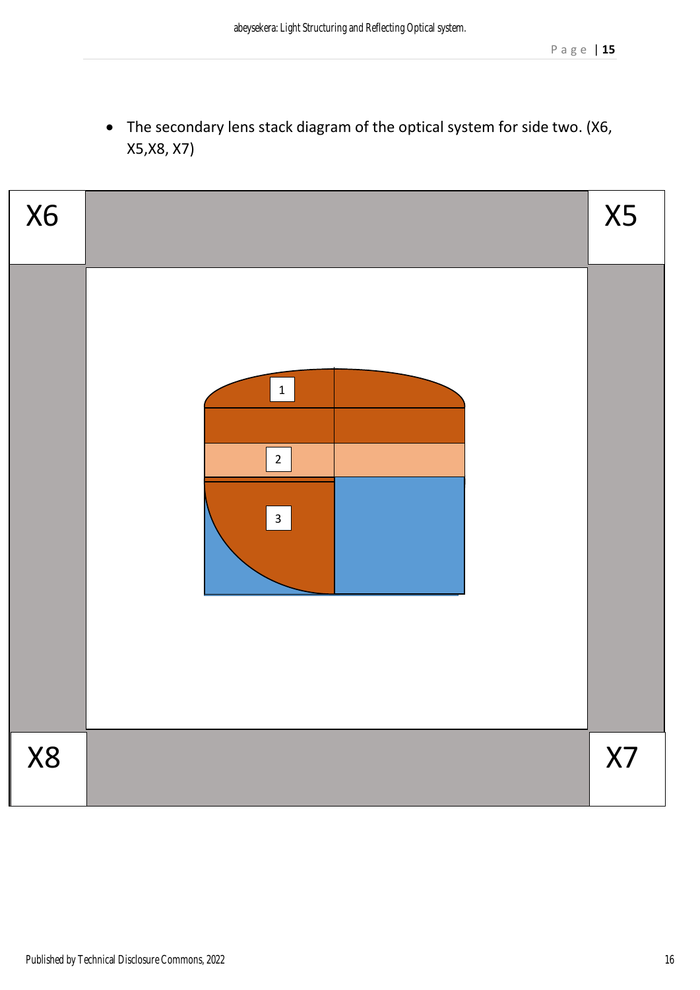The secondary lens stack diagram of the optical system for side two. (X6, X5,X8, X7)

| <b>X6</b> |                                                          | X5 |
|-----------|----------------------------------------------------------|----|
|           | $\mathbf 1$<br>$\overline{2}$<br>$\overline{\mathbf{3}}$ |    |
| <b>X8</b> |                                                          | X7 |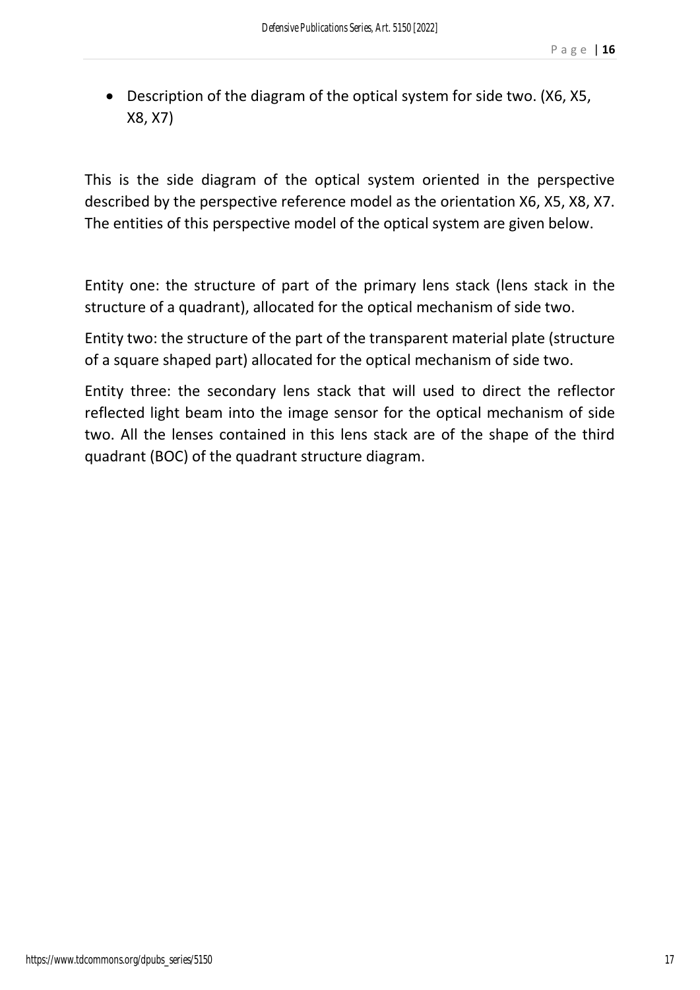Description of the diagram of the optical system for side two. (X6, X5, X8, X7)

This is the side diagram of the optical system oriented in the perspective described by the perspective reference model as the orientation X6, X5, X8, X7. The entities of this perspective model of the optical system are given below.

Entity one: the structure of part of the primary lens stack (lens stack in the structure of a quadrant), allocated for the optical mechanism of side two.

Entity two: the structure of the part of the transparent material plate (structure of a square shaped part) allocated for the optical mechanism of side two.

Entity three: the secondary lens stack that will used to direct the reflector reflected light beam into the image sensor for the optical mechanism of side two. All the lenses contained in this lens stack are of the shape of the third quadrant (BOC) of the quadrant structure diagram.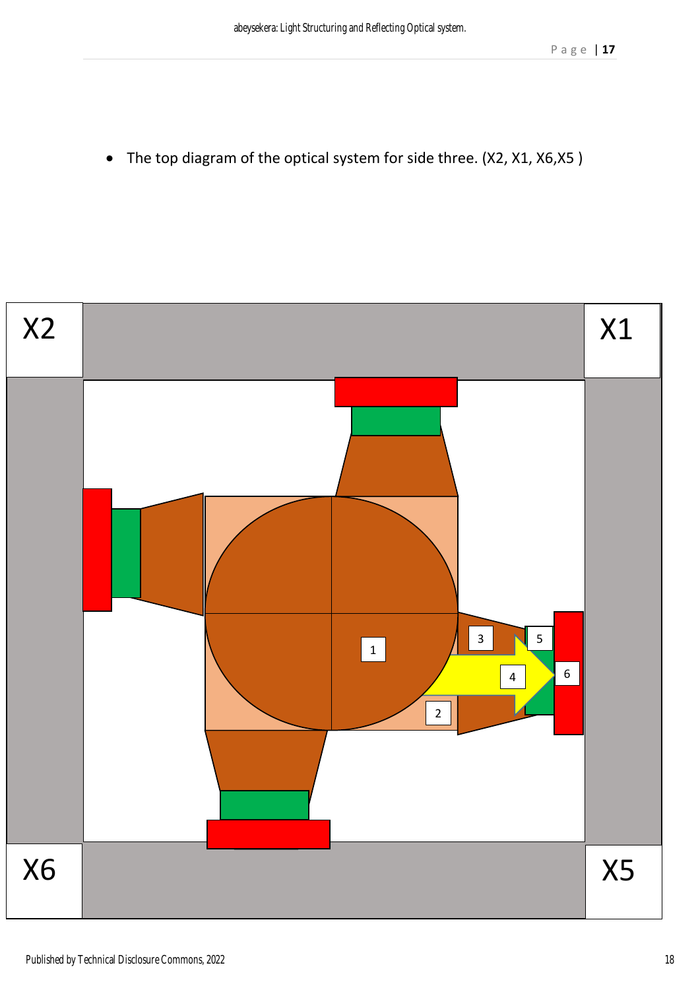• The top diagram of the optical system for side three. (X2, X1, X6, X5)

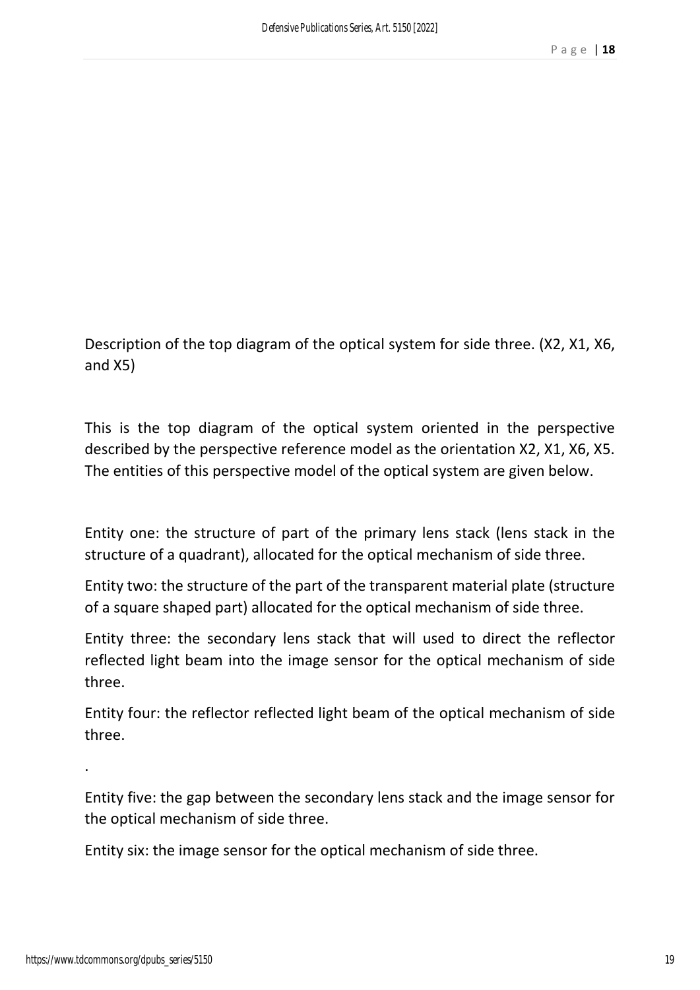Description of the top diagram of the optical system for side three. (X2, X1, X6, and X5)

This is the top diagram of the optical system oriented in the perspective described by the perspective reference model as the orientation X2, X1, X6, X5. The entities of this perspective model of the optical system are given below.

Entity one: the structure of part of the primary lens stack (lens stack in the structure of a quadrant), allocated for the optical mechanism of side three.

Entity two: the structure of the part of the transparent material plate (structure of a square shaped part) allocated for the optical mechanism of side three.

Entity three: the secondary lens stack that will used to direct the reflector reflected light beam into the image sensor for the optical mechanism of side three.

Entity four: the reflector reflected light beam of the optical mechanism of side three.

Entity five: the gap between the secondary lens stack and the image sensor for the optical mechanism of side three.

Entity six: the image sensor for the optical mechanism of side three.

.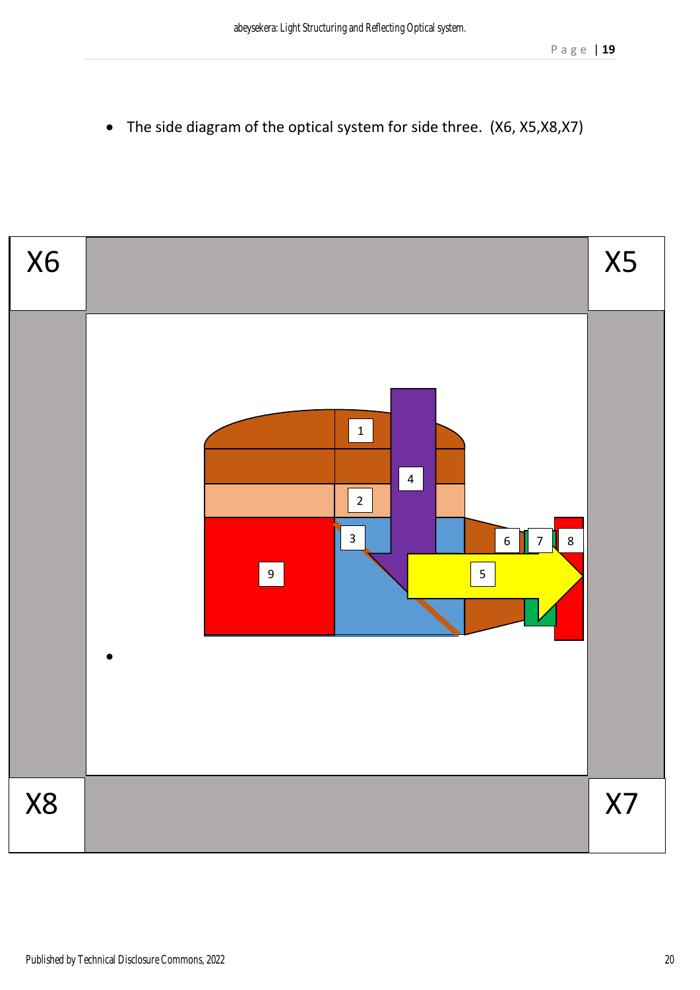The side diagram of the optical system for side three. (X6, X5,X8,X7)

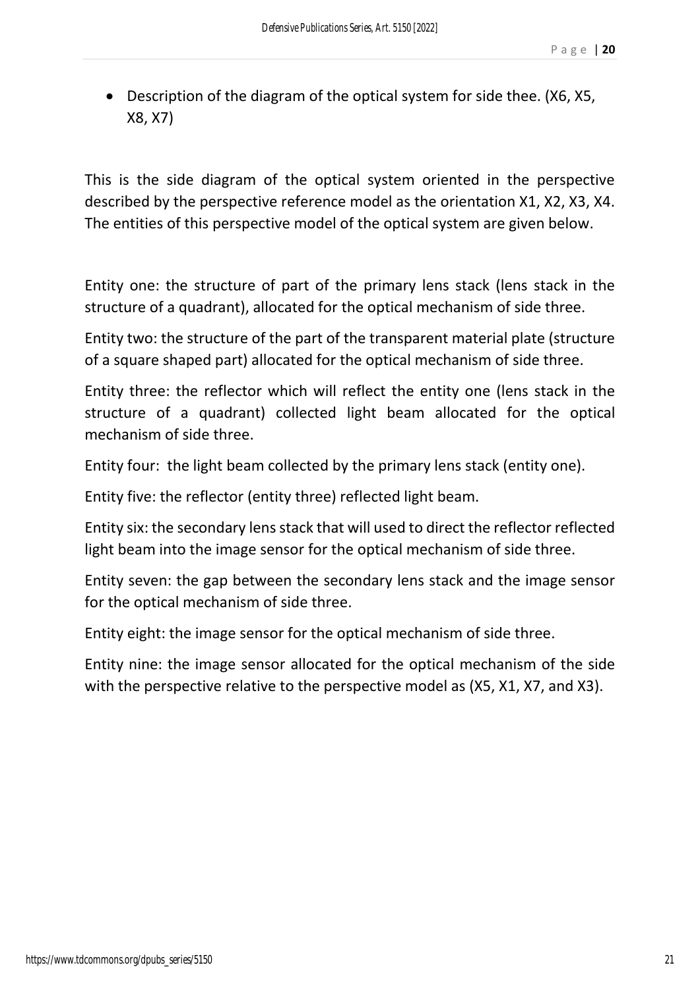Description of the diagram of the optical system for side thee. (X6, X5, X8, X7)

This is the side diagram of the optical system oriented in the perspective described by the perspective reference model as the orientation X1, X2, X3, X4. The entities of this perspective model of the optical system are given below.

Entity one: the structure of part of the primary lens stack (lens stack in the structure of a quadrant), allocated for the optical mechanism of side three.

Entity two: the structure of the part of the transparent material plate (structure of a square shaped part) allocated for the optical mechanism of side three.

Entity three: the reflector which will reflect the entity one (lens stack in the structure of a quadrant) collected light beam allocated for the optical mechanism of side three.

Entity four: the light beam collected by the primary lens stack (entity one).

Entity five: the reflector (entity three) reflected light beam.

Entity six: the secondary lens stack that will used to direct the reflector reflected light beam into the image sensor for the optical mechanism of side three.

Entity seven: the gap between the secondary lens stack and the image sensor for the optical mechanism of side three.

Entity eight: the image sensor for the optical mechanism of side three.

Entity nine: the image sensor allocated for the optical mechanism of the side with the perspective relative to the perspective model as (X5, X1, X7, and X3).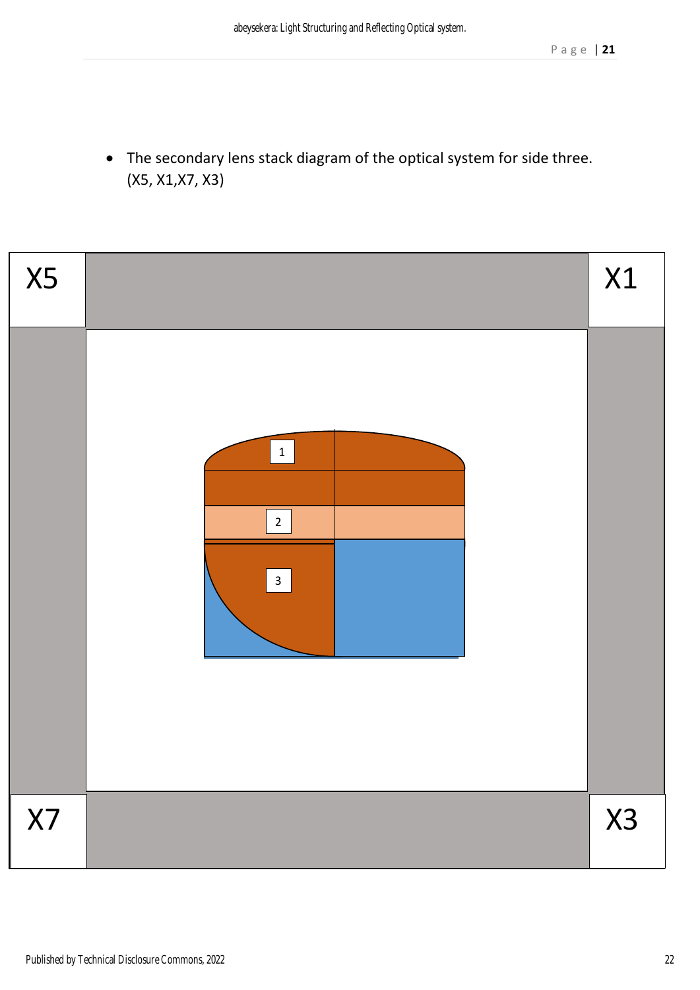The secondary lens stack diagram of the optical system for side three. (X5, X1,X7, X3)

| X5        |                                                           | X1 |
|-----------|-----------------------------------------------------------|----|
|           | $\mathbf{1}$<br>$\overline{2}$<br>$\overline{\mathbf{3}}$ |    |
| <b>X7</b> |                                                           | X3 |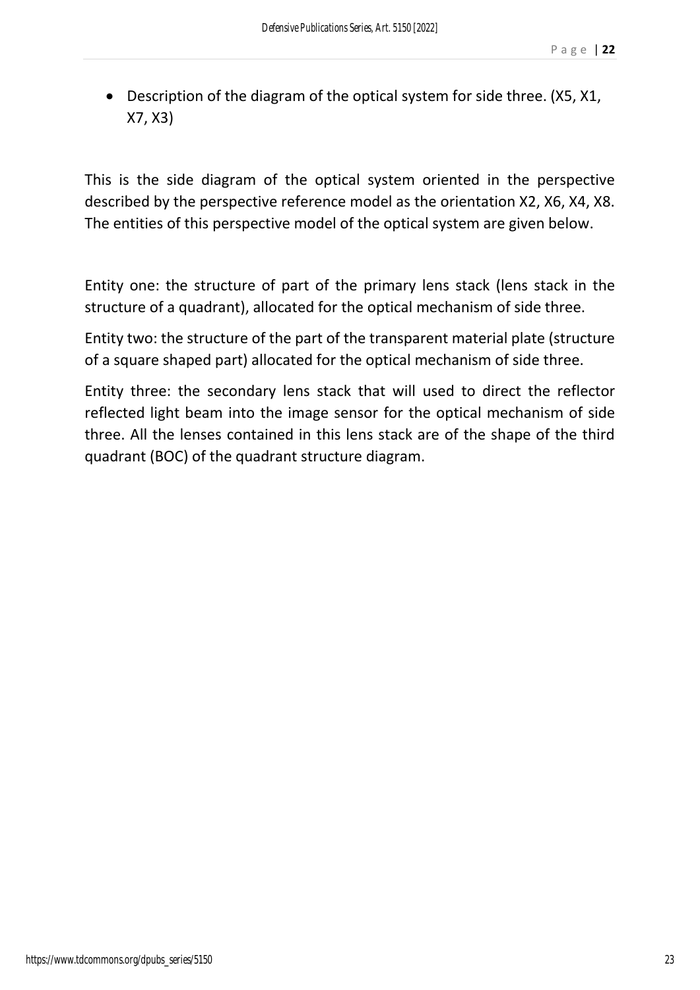Description of the diagram of the optical system for side three. (X5, X1, X7, X3)

This is the side diagram of the optical system oriented in the perspective described by the perspective reference model as the orientation X2, X6, X4, X8. The entities of this perspective model of the optical system are given below.

Entity one: the structure of part of the primary lens stack (lens stack in the structure of a quadrant), allocated for the optical mechanism of side three.

Entity two: the structure of the part of the transparent material plate (structure of a square shaped part) allocated for the optical mechanism of side three.

Entity three: the secondary lens stack that will used to direct the reflector reflected light beam into the image sensor for the optical mechanism of side three. All the lenses contained in this lens stack are of the shape of the third quadrant (BOC) of the quadrant structure diagram.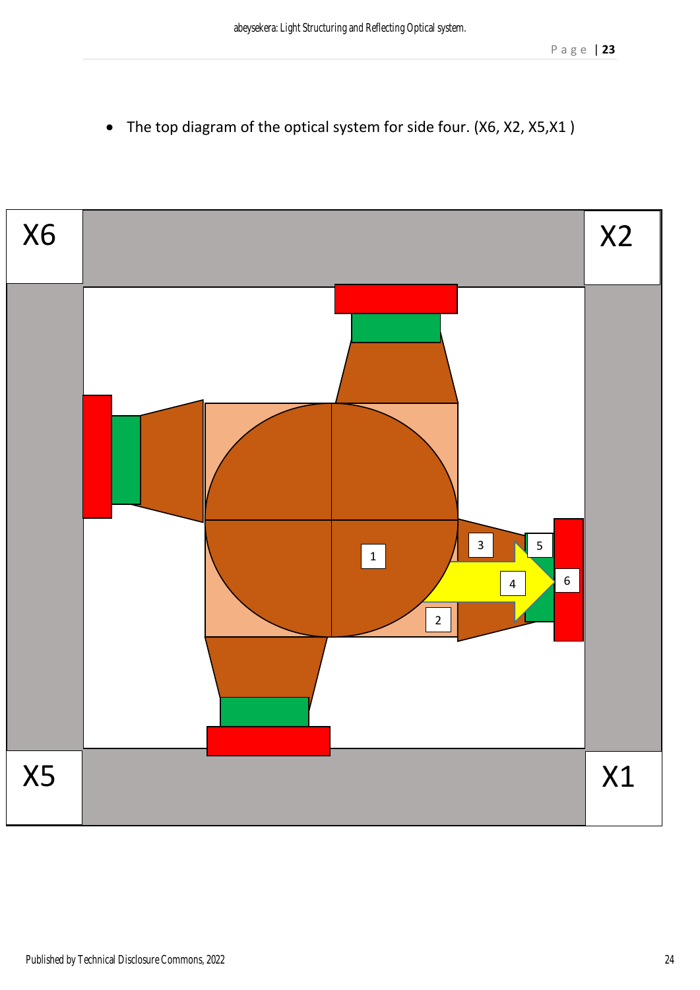• The top diagram of the optical system for side four. (X6, X2, X5, X1)

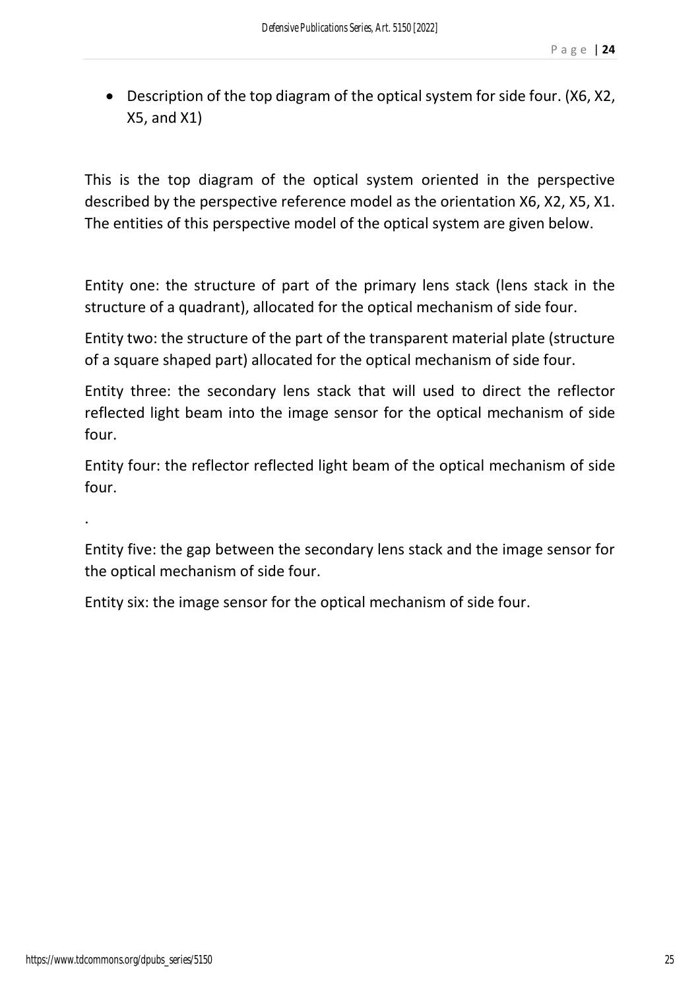Description of the top diagram of the optical system for side four. (X6, X2, X5, and X1)

This is the top diagram of the optical system oriented in the perspective described by the perspective reference model as the orientation X6, X2, X5, X1. The entities of this perspective model of the optical system are given below.

Entity one: the structure of part of the primary lens stack (lens stack in the structure of a quadrant), allocated for the optical mechanism of side four.

Entity two: the structure of the part of the transparent material plate (structure of a square shaped part) allocated for the optical mechanism of side four.

Entity three: the secondary lens stack that will used to direct the reflector reflected light beam into the image sensor for the optical mechanism of side four.

Entity four: the reflector reflected light beam of the optical mechanism of side four.

.

Entity five: the gap between the secondary lens stack and the image sensor for the optical mechanism of side four.

Entity six: the image sensor for the optical mechanism of side four.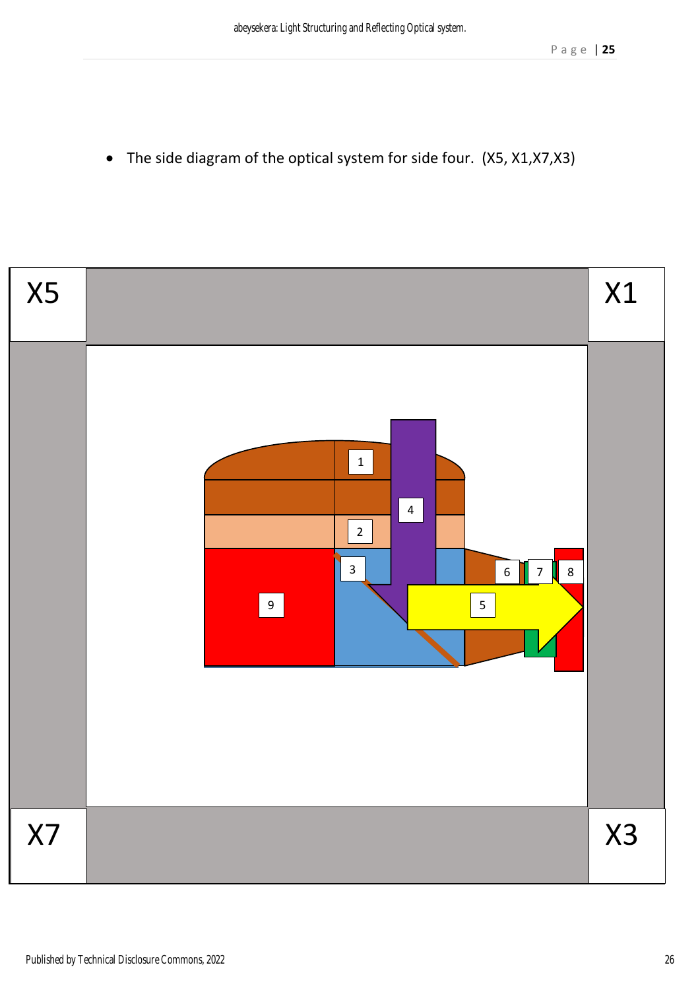• The side diagram of the optical system for side four. (X5, X1, X7, X3)

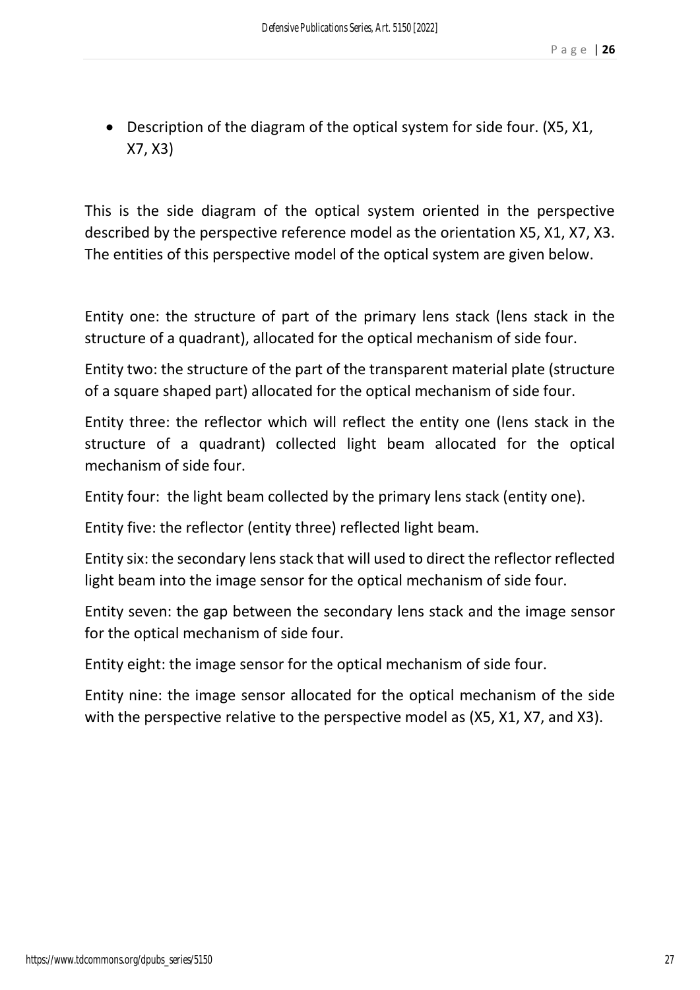Description of the diagram of the optical system for side four. (X5, X1, X7, X3)

This is the side diagram of the optical system oriented in the perspective described by the perspective reference model as the orientation X5, X1, X7, X3. The entities of this perspective model of the optical system are given below.

Entity one: the structure of part of the primary lens stack (lens stack in the structure of a quadrant), allocated for the optical mechanism of side four.

Entity two: the structure of the part of the transparent material plate (structure of a square shaped part) allocated for the optical mechanism of side four.

Entity three: the reflector which will reflect the entity one (lens stack in the structure of a quadrant) collected light beam allocated for the optical mechanism of side four.

Entity four: the light beam collected by the primary lens stack (entity one).

Entity five: the reflector (entity three) reflected light beam.

Entity six: the secondary lens stack that will used to direct the reflector reflected light beam into the image sensor for the optical mechanism of side four.

Entity seven: the gap between the secondary lens stack and the image sensor for the optical mechanism of side four.

Entity eight: the image sensor for the optical mechanism of side four.

Entity nine: the image sensor allocated for the optical mechanism of the side with the perspective relative to the perspective model as (X5, X1, X7, and X3).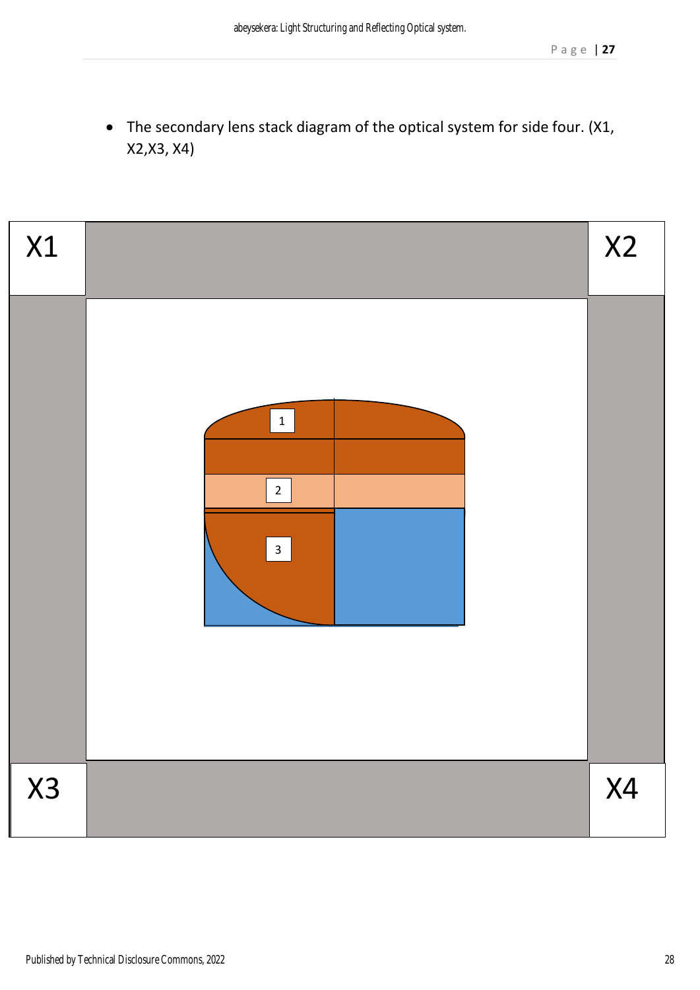The secondary lens stack diagram of the optical system for side four. (X1, X2,X3, X4)

| <b>X1</b> |                                                  | X2        |
|-----------|--------------------------------------------------|-----------|
|           | $\mathbf{1}$<br>$\overline{2}$<br>$\overline{3}$ |           |
| X3        |                                                  | <b>X4</b> |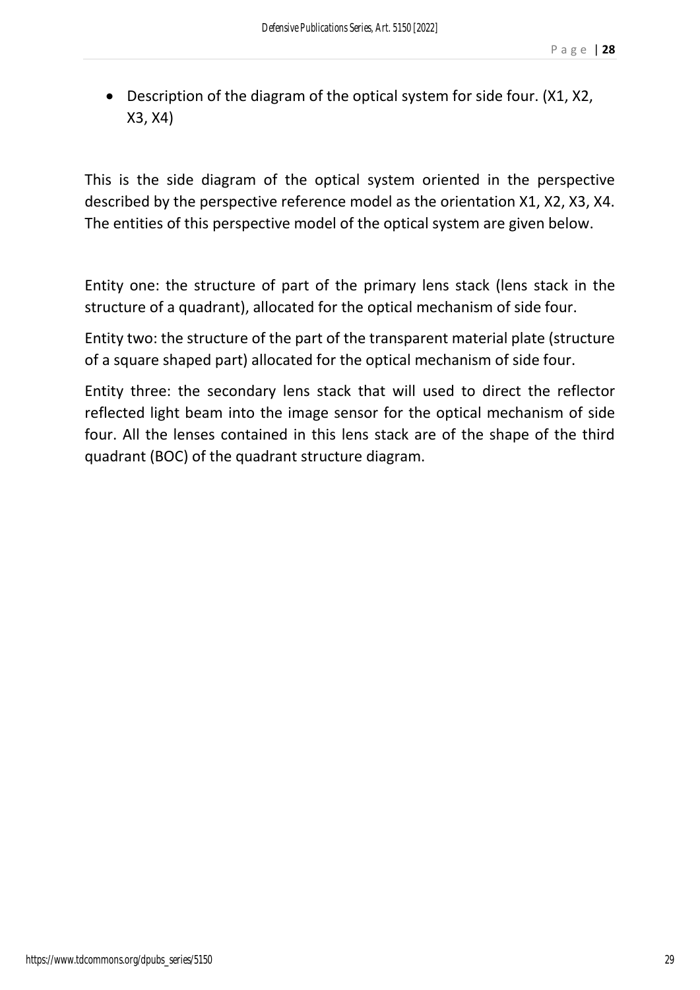Description of the diagram of the optical system for side four. (X1, X2, X3, X4)

This is the side diagram of the optical system oriented in the perspective described by the perspective reference model as the orientation X1, X2, X3, X4. The entities of this perspective model of the optical system are given below.

Entity one: the structure of part of the primary lens stack (lens stack in the structure of a quadrant), allocated for the optical mechanism of side four.

Entity two: the structure of the part of the transparent material plate (structure of a square shaped part) allocated for the optical mechanism of side four.

Entity three: the secondary lens stack that will used to direct the reflector reflected light beam into the image sensor for the optical mechanism of side four. All the lenses contained in this lens stack are of the shape of the third quadrant (BOC) of the quadrant structure diagram.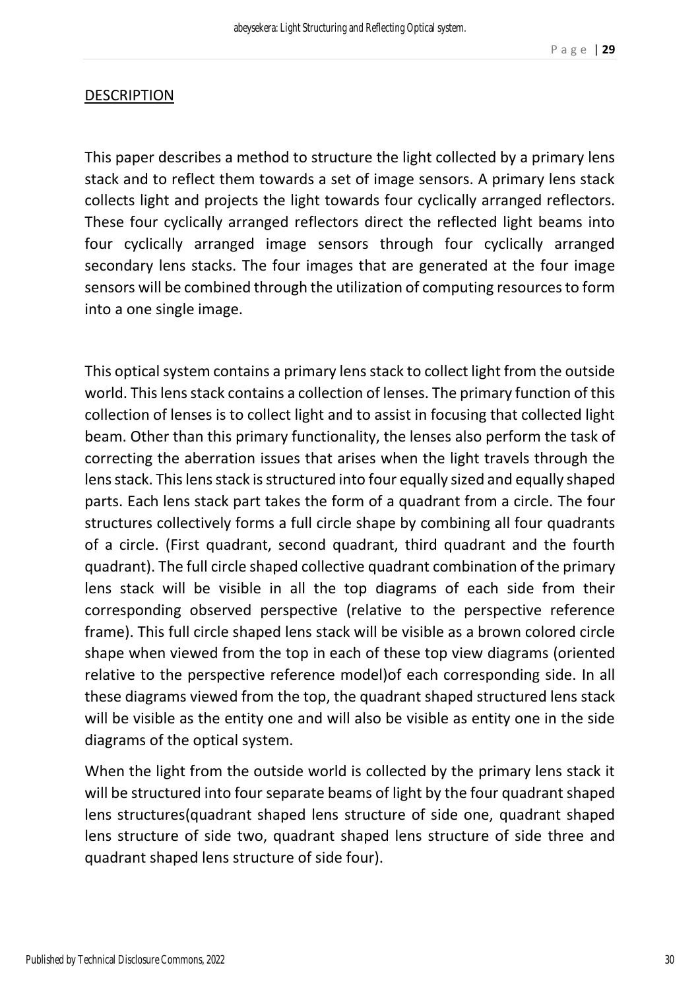#### DESCRIPTION

This paper describes a method to structure the light collected by a primary lens stack and to reflect them towards a set of image sensors. A primary lens stack collects light and projects the light towards four cyclically arranged reflectors. These four cyclically arranged reflectors direct the reflected light beams into four cyclically arranged image sensors through four cyclically arranged secondary lens stacks. The four images that are generated at the four image sensors will be combined through the utilization of computing resources to form into a one single image.

This optical system contains a primary lens stack to collect light from the outside world. This lens stack contains a collection of lenses. The primary function of this collection of lenses is to collect light and to assist in focusing that collected light beam. Other than this primary functionality, the lenses also perform the task of correcting the aberration issues that arises when the light travels through the lens stack. This lens stack is structured into four equally sized and equally shaped parts. Each lens stack part takes the form of a quadrant from a circle. The four structures collectively forms a full circle shape by combining all four quadrants of a circle. (First quadrant, second quadrant, third quadrant and the fourth quadrant). The full circle shaped collective quadrant combination of the primary lens stack will be visible in all the top diagrams of each side from their corresponding observed perspective (relative to the perspective reference frame). This full circle shaped lens stack will be visible as a brown colored circle shape when viewed from the top in each of these top view diagrams (oriented relative to the perspective reference model)of each corresponding side. In all these diagrams viewed from the top, the quadrant shaped structured lens stack will be visible as the entity one and will also be visible as entity one in the side diagrams of the optical system.

When the light from the outside world is collected by the primary lens stack it will be structured into four separate beams of light by the four quadrant shaped lens structures(quadrant shaped lens structure of side one, quadrant shaped lens structure of side two, quadrant shaped lens structure of side three and quadrant shaped lens structure of side four).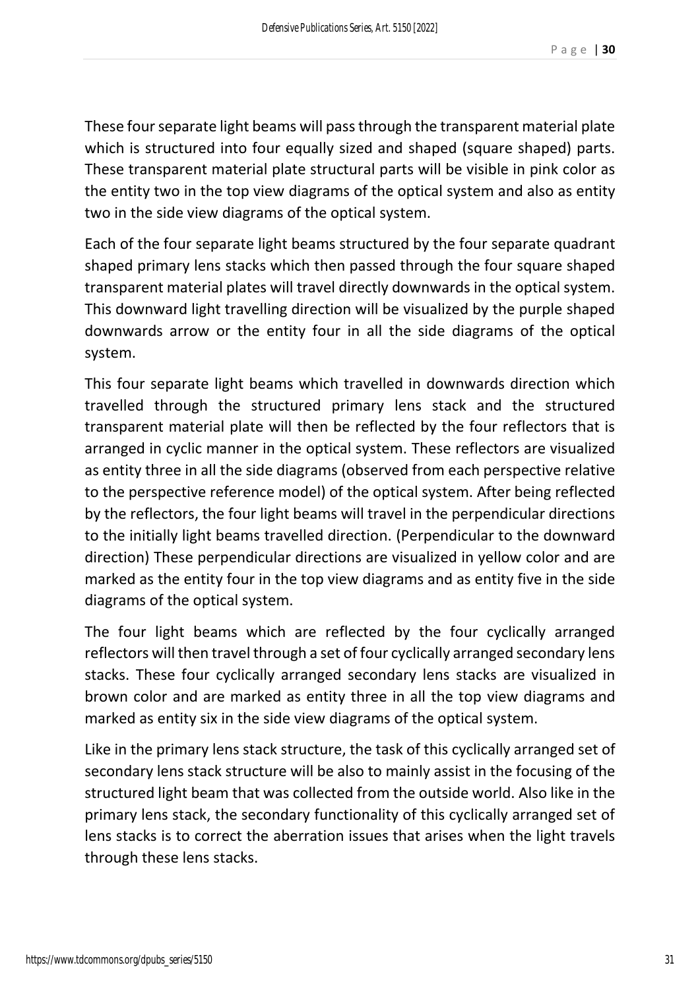These four separate light beams will pass through the transparent material plate which is structured into four equally sized and shaped (square shaped) parts. These transparent material plate structural parts will be visible in pink color as the entity two in the top view diagrams of the optical system and also as entity two in the side view diagrams of the optical system.

Each of the four separate light beams structured by the four separate quadrant shaped primary lens stacks which then passed through the four square shaped transparent material plates will travel directly downwards in the optical system. This downward light travelling direction will be visualized by the purple shaped downwards arrow or the entity four in all the side diagrams of the optical system.

This four separate light beams which travelled in downwards direction which travelled through the structured primary lens stack and the structured transparent material plate will then be reflected by the four reflectors that is arranged in cyclic manner in the optical system. These reflectors are visualized as entity three in all the side diagrams (observed from each perspective relative to the perspective reference model) of the optical system. After being reflected by the reflectors, the four light beams will travel in the perpendicular directions to the initially light beams travelled direction. (Perpendicular to the downward direction) These perpendicular directions are visualized in yellow color and are marked as the entity four in the top view diagrams and as entity five in the side diagrams of the optical system.

The four light beams which are reflected by the four cyclically arranged reflectors will then travel through a set of four cyclically arranged secondary lens stacks. These four cyclically arranged secondary lens stacks are visualized in brown color and are marked as entity three in all the top view diagrams and marked as entity six in the side view diagrams of the optical system.

Like in the primary lens stack structure, the task of this cyclically arranged set of secondary lens stack structure will be also to mainly assist in the focusing of the structured light beam that was collected from the outside world. Also like in the primary lens stack, the secondary functionality of this cyclically arranged set of lens stacks is to correct the aberration issues that arises when the light travels through these lens stacks.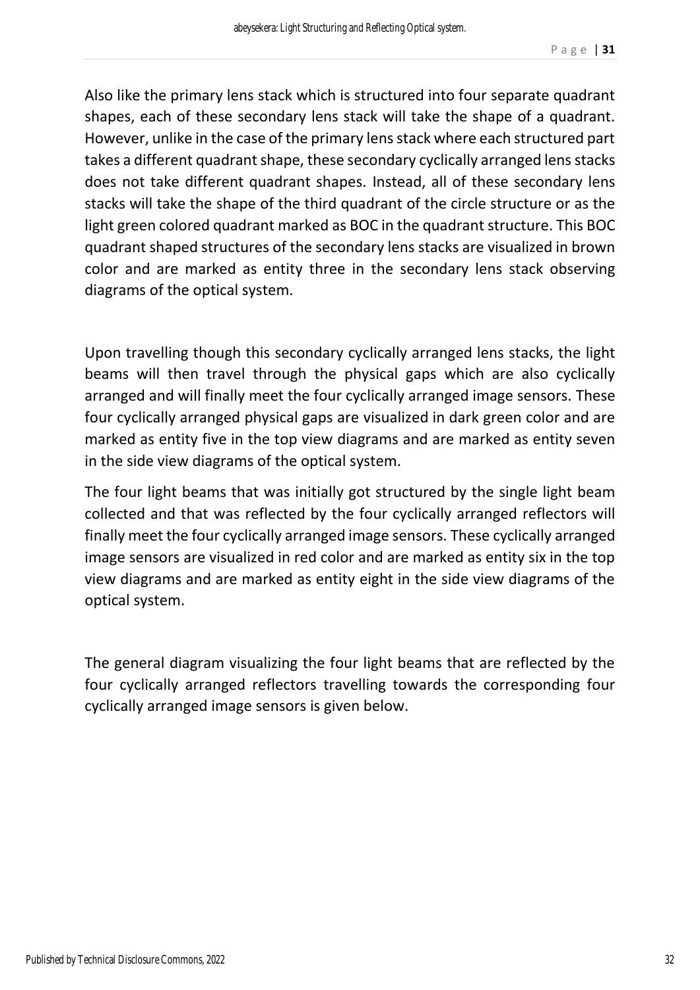Also like the primary lens stack which is structured into four separate quadrant shapes, each of these secondary lens stack will take the shape of a quadrant. However, unlike in the case of the primary lens stack where each structured part takes a different quadrant shape, these secondary cyclically arranged lens stacks does not take different quadrant shapes. Instead, all of these secondary lens stacks will take the shape of the third quadrant of the circle structure or as the light green colored quadrant marked as BOC in the quadrant structure. This BOC quadrant shaped structures of the secondary lens stacks are visualized in brown color and are marked as entity three in the secondary lens stack observing diagrams of the optical system.

Upon travelling though this secondary cyclically arranged lens stacks, the light beams will then travel through the physical gaps which are also cyclically arranged and will finally meet the four cyclically arranged image sensors. These four cyclically arranged physical gaps are visualized in dark green color and are marked as entity five in the top view diagrams and are marked as entity seven in the side view diagrams of the optical system.

The four light beams that was initially got structured by the single light beam collected and that was reflected by the four cyclically arranged reflectors will finally meet the four cyclically arranged image sensors. These cyclically arranged image sensors are visualized in red color and are marked as entity six in the top view diagrams and are marked as entity eight in the side view diagrams of the optical system.

The general diagram visualizing the four light beams that are reflected by the four cyclically arranged reflectors travelling towards the corresponding four cyclically arranged image sensors is given below.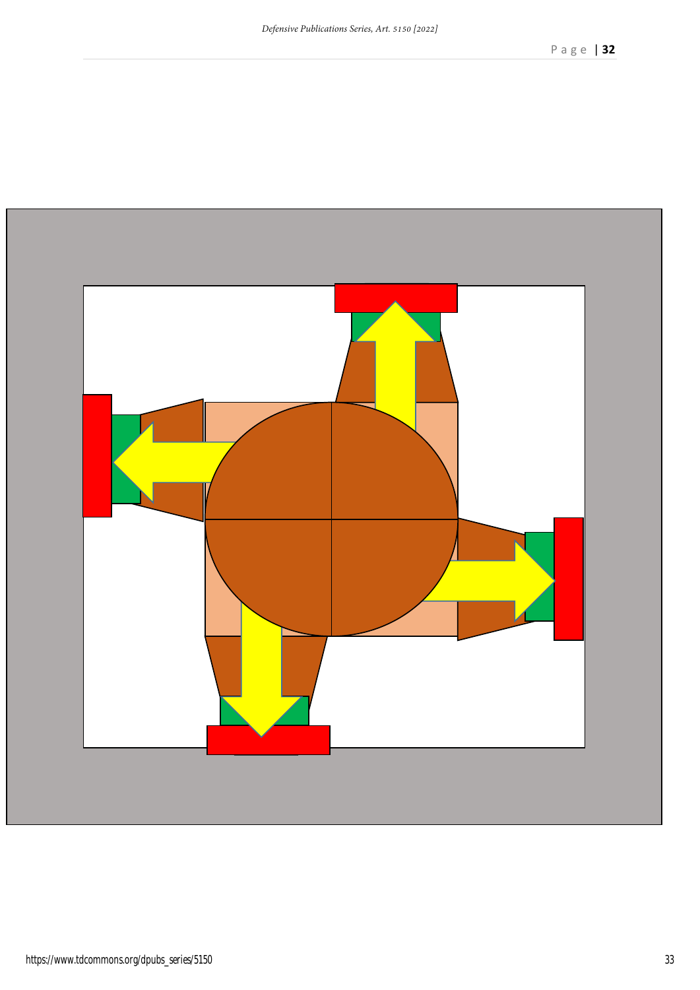